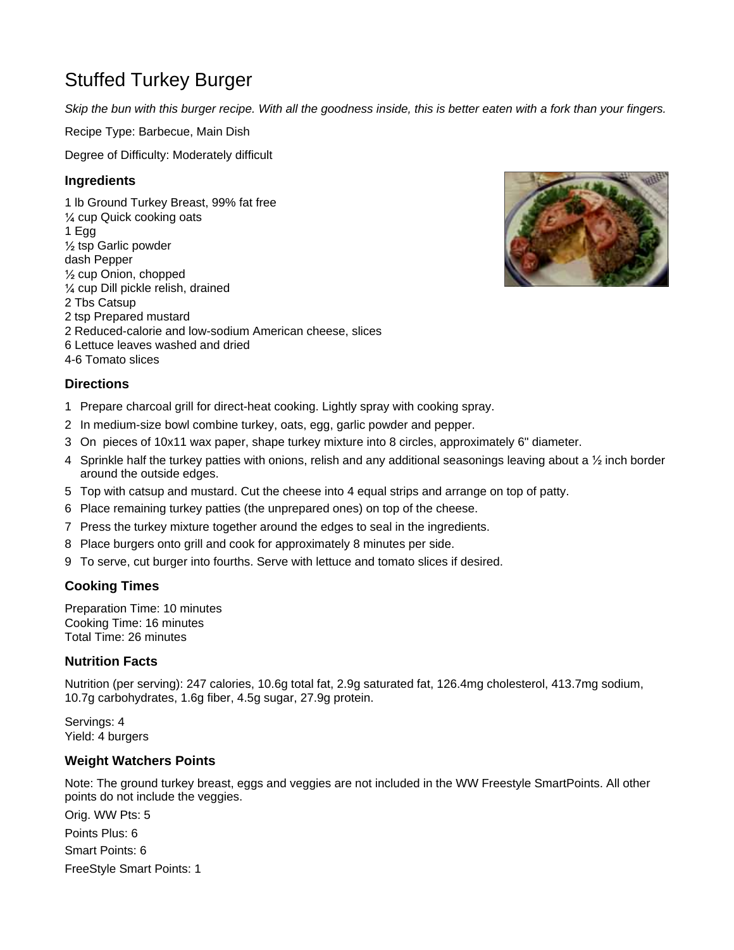# Stuffed Turkey Burger

*Skip the bun with this burger recipe. With all the goodness inside, this is better eaten with a fork than your fingers.*

Recipe Type: Barbecue, Main Dish

Degree of Difficulty: Moderately difficult

## **Ingredients**

1 lb Ground Turkey Breast, 99% fat free ¼ cup Quick cooking oats 1 Egg ½ tsp Garlic powder dash Pepper ½ cup Onion, chopped ¼ cup Dill pickle relish, drained 2 Tbs Catsup 2 tsp Prepared mustard 2 Reduced-calorie and low-sodium American cheese, slices 6 Lettuce leaves washed and dried 4-6 Tomato slices



### **Directions**

- 1 Prepare charcoal grill for direct-heat cooking. Lightly spray with cooking spray.
- 2 In medium-size bowl combine turkey, oats, egg, garlic powder and pepper.
- 3 On pieces of 10x11 wax paper, shape turkey mixture into 8 circles, approximately 6" diameter.
- 4 Sprinkle half the turkey patties with onions, relish and any additional seasonings leaving about a  $\frac{1}{2}$  inch border around the outside edges.
- 5 Top with catsup and mustard. Cut the cheese into 4 equal strips and arrange on top of patty.
- 6 Place remaining turkey patties (the unprepared ones) on top of the cheese.
- 7 Press the turkey mixture together around the edges to seal in the ingredients.
- 8 Place burgers onto grill and cook for approximately 8 minutes per side.
- 9 To serve, cut burger into fourths. Serve with lettuce and tomato slices if desired.

#### **Cooking Times**

Preparation Time: 10 minutes Cooking Time: 16 minutes Total Time: 26 minutes

#### **Nutrition Facts**

Nutrition (per serving): 247 calories, 10.6g total fat, 2.9g saturated fat, 126.4mg cholesterol, 413.7mg sodium, 10.7g carbohydrates, 1.6g fiber, 4.5g sugar, 27.9g protein.

Servings: 4 Yield: 4 burgers

#### **Weight Watchers Points**

Note: The ground turkey breast, eggs and veggies are not included in the WW Freestyle SmartPoints. All other points do not include the veggies.

Orig. WW Pts: 5 Points Plus: 6 Smart Points: 6 FreeStyle Smart Points: 1